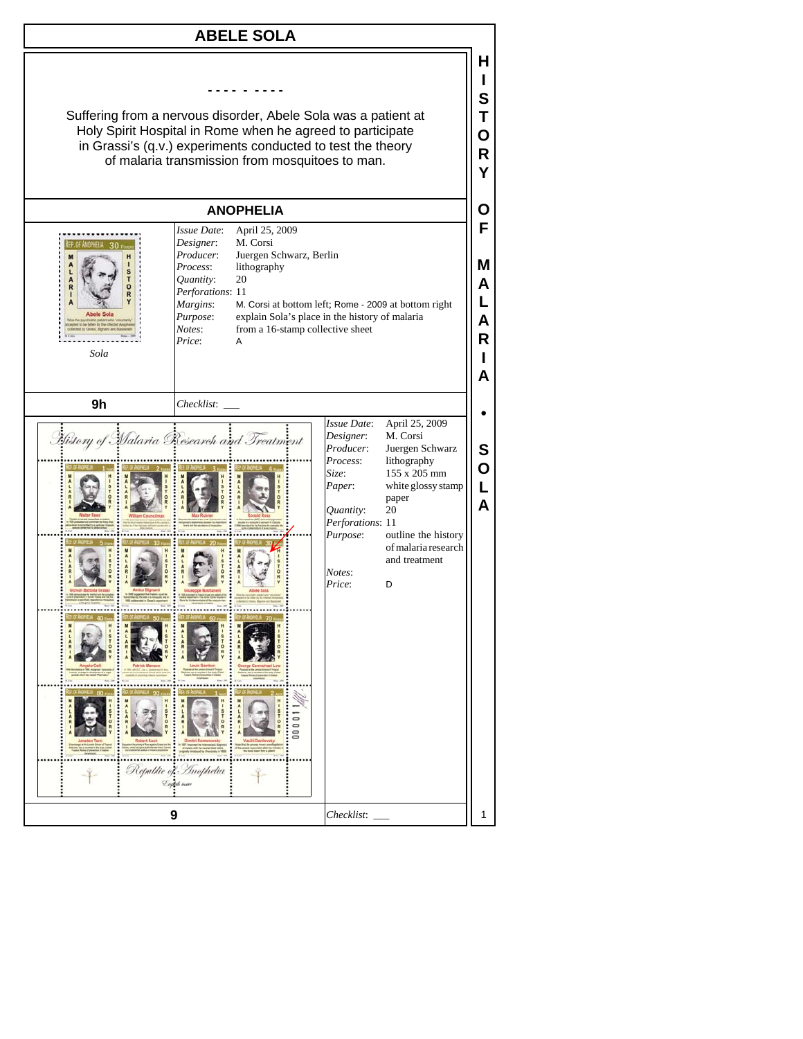